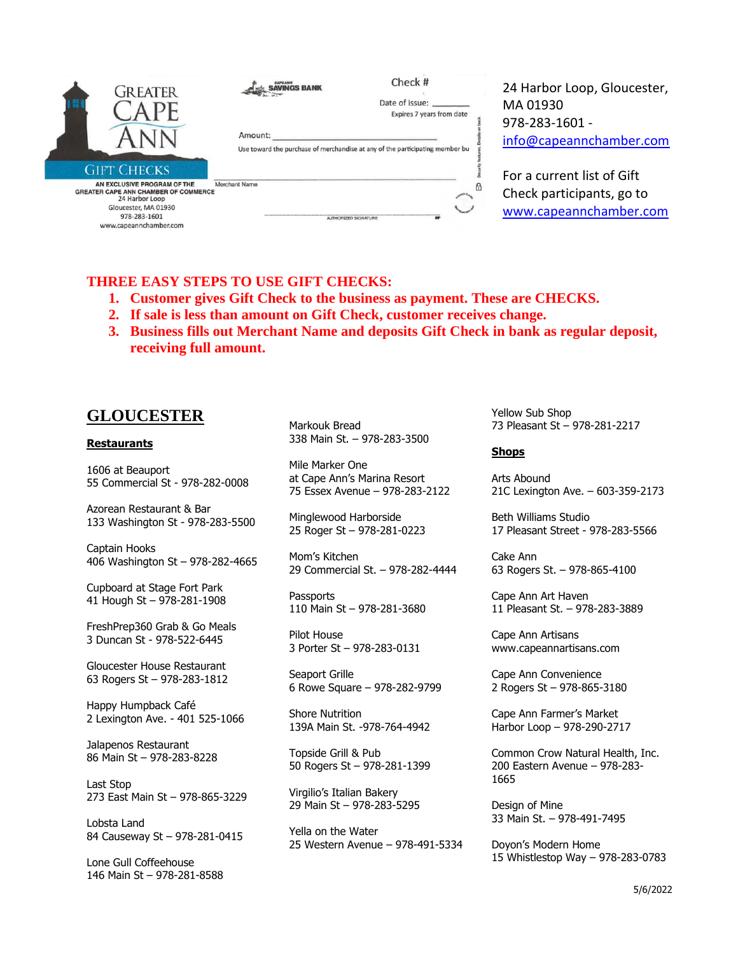| GREATER                                                                                                                                                                              | <b>SAVINGS BANK</b><br>Amount:        | Check #<br>Date of Issue:<br>Expires 7 years from date<br>Use toward the purchase of merchandise at any of the participating member bu | 24 Harbor Loop, Gloucester,<br>MA 01930<br>978-283-1601 -<br>info@capeannchamber.com |
|--------------------------------------------------------------------------------------------------------------------------------------------------------------------------------------|---------------------------------------|----------------------------------------------------------------------------------------------------------------------------------------|--------------------------------------------------------------------------------------|
| <b>GIFT CHECKS</b><br>AN EXCLUSIVE PROGRAM OF THE<br><b>GREATER CAPE ANN CHAMBER OF COMMERCE</b><br>24 Harbor Loop<br>Gloucester, MA 01930<br>978-283-1601<br>www.capeannchamber.com | Merchant Name<br>AUTHORIZED SIGNATURE | A<br>M                                                                                                                                 | For a current list of Gift<br>Check participants, go to<br>www.capeannchamber.com    |

### **THREE EASY STEPS TO USE GIFT CHECKS:**

- **1. Customer gives Gift Check to the business as payment. These are CHECKS.**
- **2. If sale is less than amount on Gift Check, customer receives change.**
- **3. Business fills out Merchant Name and deposits Gift Check in bank as regular deposit, receiving full amount.**

# **GLOUCESTER**

### **Restaurants**

1606 at Beauport 55 Commercial St - 978-282-0008

Azorean Restaurant & Bar 133 Washington St - 978-283-5500

Captain Hooks 406 Washington St – 978-282-4665

Cupboard at Stage Fort Park 41 Hough St – 978-281-1908

FreshPrep360 Grab & Go Meals 3 Duncan St - 978-522-6445

Gloucester House Restaurant 63 Rogers St – 978-283-1812

Happy Humpback Café 2 Lexington Ave. - 401 525-1066

Jalapenos Restaurant 86 Main St – 978-283-8228

Last Stop 273 East Main St – 978-865-3229

Lobsta Land 84 Causeway St – 978-281-0415

Lone Gull Coffeehouse 146 Main St – 978-281-8588

Markouk Bread 338 Main St. – 978-283-3500

Mile Marker One at Cape Ann's Marina Resort 75 Essex Avenue – 978-283-2122

Minglewood Harborside 25 Roger St – 978-281-0223

Mom's Kitchen 29 Commercial St. – 978-282-4444

**Passports** 110 Main St – 978-281-3680

Pilot House 3 Porter St – 978-283-0131

Seaport Grille 6 Rowe Square – 978-282-9799

Shore Nutrition 139A Main St. -978-764-4942

Topside Grill & Pub 50 Rogers St – 978-281-1399

Virgilio's Italian Bakery 29 Main St – 978-283-5295

Yella on the Water 25 Western Avenue – 978-491-5334 Yellow Sub Shop 73 Pleasant St – 978-281-2217

### **Shops**

Arts Abound 21C Lexington Ave. – 603-359-2173

Beth Williams Studio 17 Pleasant Street - 978-283-5566

Cake Ann 63 Rogers St. – 978-865-4100

Cape Ann Art Haven 11 Pleasant St. – 978-283-3889

Cape Ann Artisans www.capeannartisans.com

Cape Ann Convenience 2 Rogers St – 978-865-3180

Cape Ann Farmer's Market Harbor Loop – 978-290-2717

Common Crow Natural Health, Inc. 200 Eastern Avenue – 978-283- 1665

Design of Mine 33 Main St. – 978-491-7495

Doyon's Modern Home 15 Whistlestop Way – 978-283-0783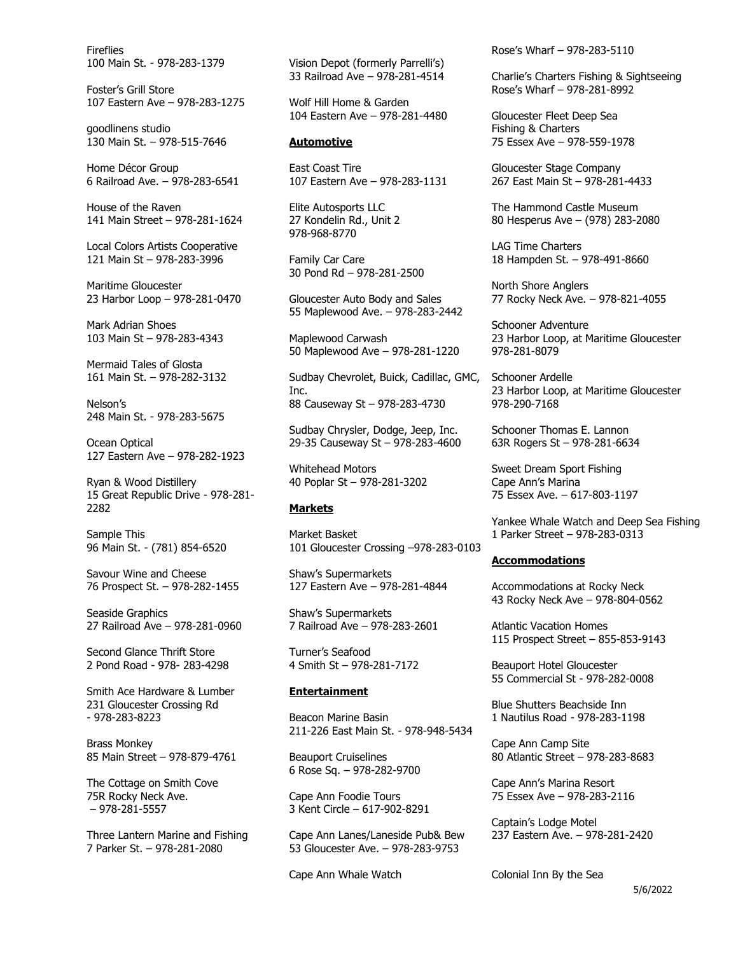Fireflies 100 Main St. - 978-283-1379

Foster's Grill Store 107 Eastern Ave – 978-283-1275

goodlinens studio 130 Main St. – 978-515-7646

Home Décor Group 6 Railroad Ave. – 978-283-6541

House of the Raven 141 Main Street – 978-281-1624

Local Colors Artists Cooperative 121 Main St – 978-283-3996

Maritime Gloucester 23 Harbor Loop – 978-281-0470

Mark Adrian Shoes 103 Main St – 978-283-4343

Mermaid Tales of Glosta 161 Main St. – 978-282-3132

Nelson's 248 Main St. - 978-283-5675

Ocean Optical 127 Eastern Ave – 978-282-1923

Ryan & Wood Distillery 15 Great Republic Drive - 978-281- 2282

Sample This 96 Main St. - (781) 854-6520

Savour Wine and Cheese 76 Prospect St. – 978-282-1455

Seaside Graphics 27 Railroad Ave – 978-281-0960

Second Glance Thrift Store 2 Pond Road - 978- 283-4298

Smith Ace Hardware & Lumber 231 Gloucester Crossing Rd - 978-283-8223

Brass Monkey 85 Main Street – 978-879-4761

The Cottage on Smith Cove 75R Rocky Neck Ave. – 978-281-5557

Three Lantern Marine and Fishing 7 Parker St. – 978-281-2080

Vision Depot (formerly Parrelli's) 33 Railroad Ave – 978-281-4514

Wolf Hill Home & Garden 104 Eastern Ave – 978-281-4480

### **Automotive**

East Coast Tire 107 Eastern Ave – 978-283-1131

Elite Autosports LLC 27 Kondelin Rd., Unit 2 978-968-8770

Family Car Care 30 Pond Rd – 978-281-2500

Gloucester Auto Body and Sales 55 Maplewood Ave. – 978-283-2442

Maplewood Carwash 50 Maplewood Ave – 978-281-1220

Sudbay Chevrolet, Buick, Cadillac, GMC, Inc. 88 Causeway St – 978-283-4730

Sudbay Chrysler, Dodge, Jeep, Inc. 29-35 Causeway St – 978-283-4600

Whitehead Motors 40 Poplar St – 978-281-3202

#### **Markets**

Market Basket 101 Gloucester Crossing –978-283-0103

Shaw's Supermarkets 127 Eastern Ave – 978-281-4844

Shaw's Supermarkets 7 Railroad Ave – 978-283-2601

Turner's Seafood 4 Smith St – 978-281-7172

### **Entertainment**

Beacon Marine Basin 211-226 East Main St. - 978-948-5434

Beauport Cruiselines 6 Rose Sq. – 978-282-9700

Cape Ann Foodie Tours 3 Kent Circle – 617-902-8291

Cape Ann Lanes/Laneside Pub& Bew 53 Gloucester Ave. – 978-283-9753

Cape Ann Whale Watch

Rose's Wharf – 978-283-5110

Charlie's Charters Fishing & Sightseeing Rose's Wharf – 978-281-8992

Gloucester Fleet Deep Sea Fishing & Charters 75 Essex Ave – 978-559-1978

Gloucester Stage Company 267 East Main St – 978-281-4433

The Hammond Castle Museum 80 Hesperus Ave – (978) 283-2080

LAG Time Charters 18 Hampden St. – 978-491-8660

North Shore Anglers 77 Rocky Neck Ave. – 978-821-4055

Schooner Adventure 23 Harbor Loop, at Maritime Gloucester 978-281-8079

Schooner Ardelle 23 Harbor Loop, at Maritime Gloucester 978-290-7168

Schooner Thomas E. Lannon 63R Rogers St – 978-281-6634

Sweet Dream Sport Fishing Cape Ann's Marina 75 Essex Ave. – 617-803-1197

Yankee Whale Watch and Deep Sea Fishing 1 Parker Street – 978-283-0313

#### **Accommodations**

Accommodations at Rocky Neck 43 Rocky Neck Ave – 978-804-0562

Atlantic Vacation Homes 115 Prospect Street – 855-853-9143

Beauport Hotel Gloucester 55 Commercial St - 978-282-0008

Blue Shutters Beachside Inn 1 Nautilus Road - 978-283-1198

Cape Ann Camp Site 80 Atlantic Street – 978-283-8683

Cape Ann's Marina Resort 75 Essex Ave – 978-283-2116

Captain's Lodge Motel 237 Eastern Ave. – 978-281-2420

Colonial Inn By the Sea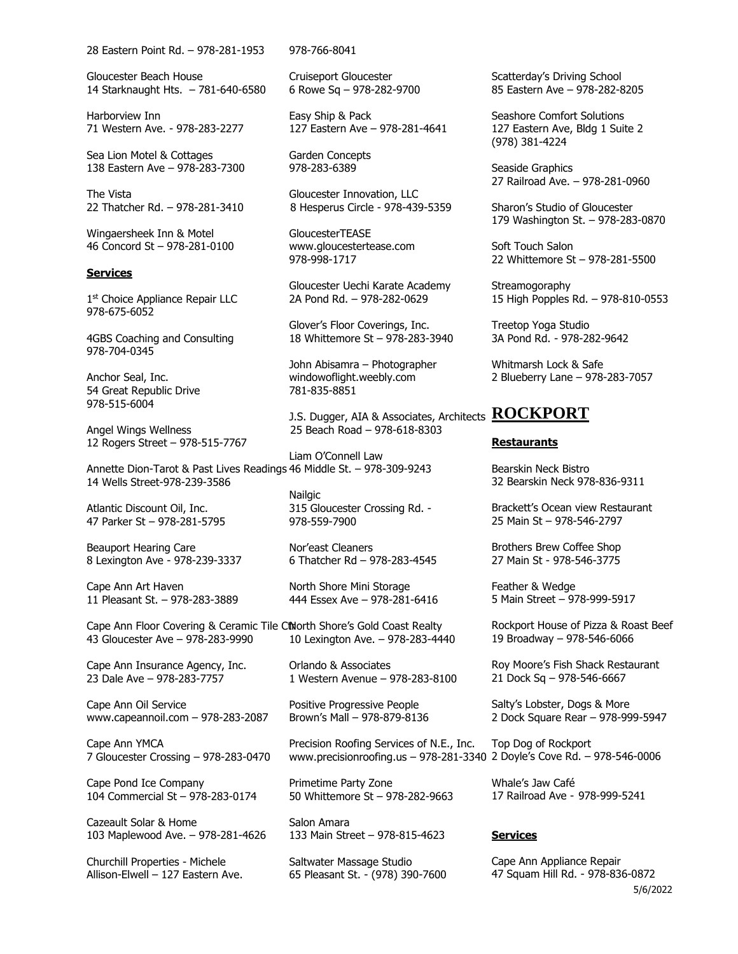28 Eastern Point Rd. – 978-281-1953

Gloucester Beach House 14 Starknaught Hts. – 781-640-6580

Harborview Inn 71 Western Ave. - 978-283-2277

Sea Lion Motel & Cottages 138 Eastern Ave – 978-283-7300

The Vista 22 Thatcher Rd. – 978-281-3410

Wingaersheek Inn & Motel 46 Concord St – 978-281-0100

### **Services**

1st Choice Appliance Repair LLC 978-675-6052

4GBS Coaching and Consulting 978-704-0345

Anchor Seal, Inc. 54 Great Republic Drive 978-515-6004

Angel Wings Wellness 12 Rogers Street – 978-515-7767

14 Wells Street-978-239-3586

Atlantic Discount Oil, Inc. 47 Parker St – 978-281-5795

Beauport Hearing Care 8 Lexington Ave - 978-239-3337

Cape Ann Art Haven 11 Pleasant St. – 978-283-3889

Cape Ann Floor Covering & Ceramic Tile CtNorth Shore's Gold Coast Realty 43 Gloucester Ave – 978-283-9990

Cape Ann Insurance Agency, Inc. 23 Dale Ave – 978-283-7757

Cape Ann Oil Service www.capeannoil.com – 978-283-2087

Cape Ann YMCA 7 Gloucester Crossing – 978-283-0470

Cape Pond Ice Company 104 Commercial St – 978-283-0174

Cazeault Solar & Home 103 Maplewood Ave. – 978-281-4626

Churchill Properties - Michele Allison-Elwell – 127 Eastern Ave. 978-766-8041

Cruiseport Gloucester 6 Rowe Sq – 978-282-9700

Easy Ship & Pack 127 Eastern Ave – 978-281-4641

Garden Concepts 978-283-6389

Gloucester Innovation, LLC 8 Hesperus Circle - 978-439-5359

GloucesterTEASE www.gloucestertease.com 978-998-1717

Gloucester Uechi Karate Academy 2A Pond Rd. – 978-282-0629

Glover's Floor Coverings, Inc. 18 Whittemore St – 978-283-3940

John Abisamra – Photographer windowoflight.weebly.com 781-835-8851

J.S. Dugger, AIA & Associates, Architects **ROCKPORT** 25 Beach Road – 978-618-8303

Annette Dion-Tarot & Past Lives Readings 46 Middle St. – 978-309-9243 Liam O'Connell Law

> Nailgic 315 Gloucester Crossing Rd. - 978-559-7900

Nor'east Cleaners 6 Thatcher Rd – 978-283-4545

North Shore Mini Storage 444 Essex Ave – 978-281-6416

10 Lexington Ave. – 978-283-4440

Orlando & Associates 1 Western Avenue – 978-283-8100

Positive Progressive People Brown's Mall – 978-879-8136

Precision Roofing Services of N.E., Inc.

Primetime Party Zone 50 Whittemore St – 978-282-9663

Salon Amara 133 Main Street – 978-815-4623

Saltwater Massage Studio 65 Pleasant St. - (978) 390-7600 Scatterday's Driving School 85 Eastern Ave – 978-282-8205

Seashore Comfort Solutions 127 Eastern Ave, Bldg 1 Suite 2 (978) 381-4224

Seaside Graphics 27 Railroad Ave. – 978-281-0960

Sharon's Studio of Gloucester 179 Washington St. – 978-283-0870

Soft Touch Salon 22 Whittemore St – 978-281-5500

**Streamogoraphy** 15 High Popples Rd. – 978-810-0553

Treetop Yoga Studio 3A Pond Rd. - 978-282-9642

Whitmarsh Lock & Safe 2 Blueberry Lane – 978-283-7057

#### **Restaurants**

Bearskin Neck Bistro 32 Bearskin Neck 978-836-9311

Brackett's Ocean view Restaurant 25 Main St – 978-546-2797

Brothers Brew Coffee Shop 27 Main St - 978-546-3775

Feather & Wedge 5 Main Street – 978-999-5917

Rockport House of Pizza & Roast Beef 19 Broadway – 978-546-6066

Roy Moore's Fish Shack Restaurant 21 Dock Sq – 978-546-6667

Salty's Lobster, Dogs & More 2 Dock Square Rear – 978-999-5947

www.precisionroofing.us – 978-281-3340 2 Doyle's Cove Rd. – 978-546-0006 Top Dog of Rockport

> Whale's Jaw Café 17 Railroad Ave - 978-999-5241

### **Services**

5/6/2022 Cape Ann Appliance Repair 47 Squam Hill Rd. - 978-836-0872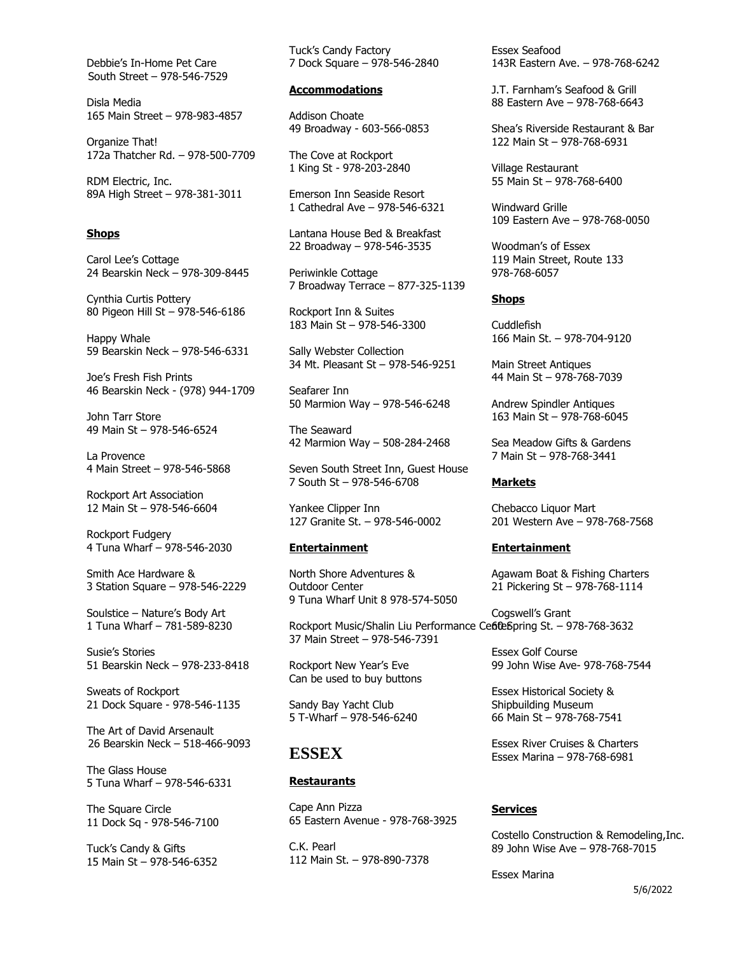Debbie's In-Home Pet Care South Street – 978-546-7529

Disla Media 165 Main Street – 978-983-4857

Organize That! 172a Thatcher Rd. – 978-500-7709

RDM Electric, Inc. 89A High Street – 978-381-3011

### **Shops**

Carol Lee's Cottage 24 Bearskin Neck – 978-309-8445

Cynthia Curtis Pottery 80 Pigeon Hill St – 978-546-6186

Happy Whale 59 Bearskin Neck – 978-546-6331

Joe's Fresh Fish Prints 46 Bearskin Neck - (978) 944-1709

John Tarr Store 49 Main St – 978-546-6524

La Provence 4 Main Street – 978-546-5868

Rockport Art Association 12 Main St – 978-546-6604

Rockport Fudgery 4 Tuna Wharf – 978-546-2030

Smith Ace Hardware & 3 Station Square – 978-546-2229

Soulstice – Nature's Body Art 1 Tuna Wharf – 781-589-8230

Susie's Stories 51 Bearskin Neck – 978-233-8418

Sweats of Rockport 21 Dock Square - 978-546-1135

The Art of David Arsenault 26 Bearskin Neck – 518-466-9093

The Glass House 5 Tuna Wharf – 978-546-6331

The Square Circle 11 Dock Sq - 978-546-7100

Tuck's Candy & Gifts 15 Main St – 978-546-6352 Tuck's Candy Factory 7 Dock Square – 978-546-2840

### **Accommodations**

Addison Choate 49 Broadway - 603-566-0853

The Cove at Rockport 1 King St - 978-203-2840

Emerson Inn Seaside Resort 1 Cathedral Ave – 978-546-6321

Lantana House Bed & Breakfast 22 Broadway – 978-546-3535

Periwinkle Cottage 7 Broadway Terrace – 877-325-1139

Rockport Inn & Suites 183 Main St – 978-546-3300

Sally Webster Collection 34 Mt. Pleasant St – 978-546-9251

Seafarer Inn 50 Marmion Way – 978-546-6248

The Seaward 42 Marmion Way – 508-284-2468

Seven South Street Inn, Guest House 7 South St – 978-546-6708

Yankee Clipper Inn 127 Granite St. – 978-546-0002

### **Entertainment**

North Shore Adventures & Outdoor Center 9 Tuna Wharf Unit 8 978-574-5050

Rockport Music/Shalin Liu Performance Ce6teSpring St. - 978-768-3632 37 Main Street – 978-546-7391

Rockport New Year's Eve Can be used to buy buttons

Sandy Bay Yacht Club 5 T-Wharf – 978-546-6240

### **ESSEX**

### **Restaurants**

Cape Ann Pizza 65 Eastern Avenue - 978-768-3925

C.K. Pearl 112 Main St. – 978-890-7378 Essex Seafood 143R Eastern Ave. – 978-768-6242

J.T. Farnham's Seafood & Grill 88 Eastern Ave – 978-768-6643

Shea's Riverside Restaurant & Bar 122 Main St – 978-768-6931

Village Restaurant 55 Main St – 978-768-6400

Windward Grille 109 Eastern Ave – 978-768-0050

Woodman's of Essex 119 Main Street, Route 133 978-768-6057

### **Shops**

Cuddlefish 166 Main St. – 978-704-9120

Main Street Antiques 44 Main St – 978-768-7039

Andrew Spindler Antiques 163 Main St – 978-768-6045

Sea Meadow Gifts & Gardens 7 Main St – 978-768-3441

#### **Markets**

Chebacco Liquor Mart 201 Western Ave – 978-768-7568

#### **Entertainment**

Agawam Boat & Fishing Charters 21 Pickering St – 978-768-1114

Cogswell's Grant

Essex Golf Course 99 John Wise Ave- 978-768-7544

Essex Historical Society & Shipbuilding Museum 66 Main St – 978-768-7541

Essex River Cruises & Charters Essex Marina – 978-768-6981

### **Services**

Costello Construction & Remodeling,Inc. 89 John Wise Ave – 978-768-7015

Essex Marina